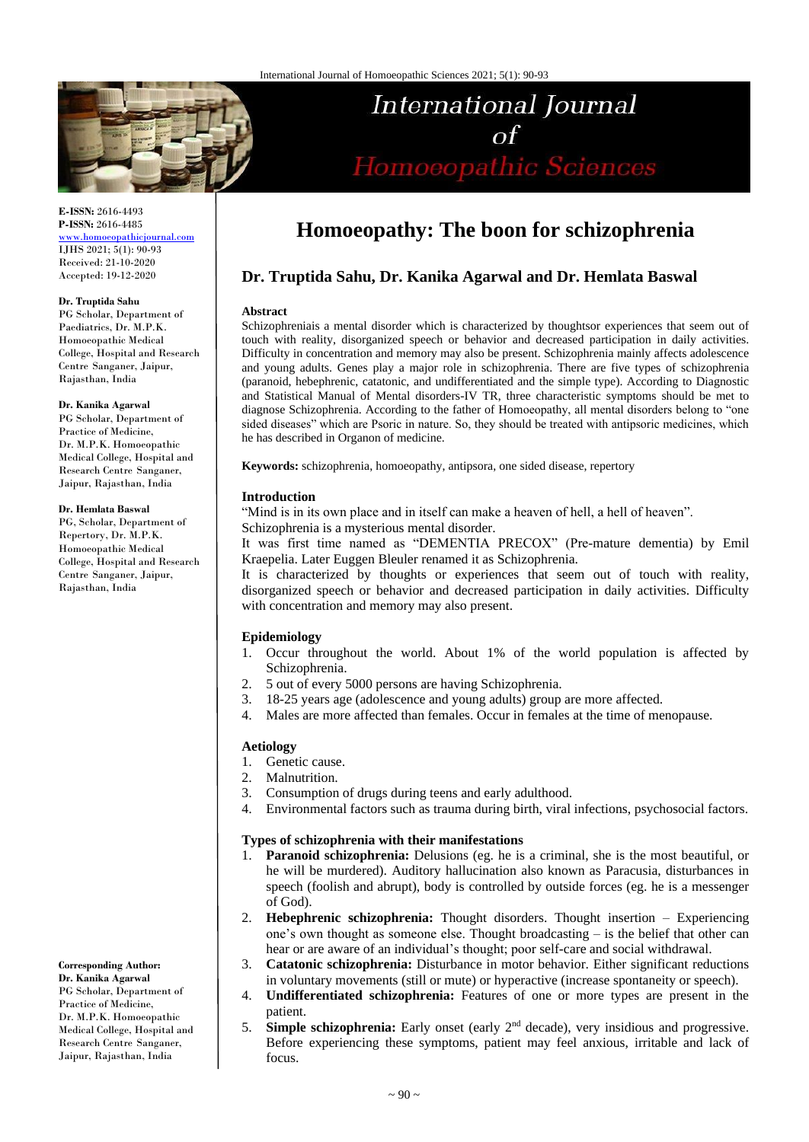

**E-ISSN:** 2616-4493 **P-ISSN:** 2616-4485 [www.homoeopathicjournal.com](file://///Server/test/homoeopathicjournal/issue/vol%204/issue%201/www.homoeopathicjournal.com)

IJHS 2021; 5(1): 90-93 Received: 21-10-2020 Accepted: 19-12-2020

#### **Dr. Truptida Sahu**

PG Scholar, Department of Paediatrics, Dr. M.P.K. Homoeopathic Medical College, Hospital and Research Centre Sanganer, Jaipur, Rajasthan, India

#### **Dr. Kanika Agarwal**

PG Scholar, Department of Practice of Medicine, Dr. M.P.K. Homoeopathic Medical College, Hospital and Research Centre Sanganer, Jaipur, Rajasthan, India

#### **Dr. Hemlata Baswal**

PG, Scholar, Department of Repertory, Dr. M.P.K. Homoeopathic Medical College, Hospital and Research Centre Sanganer, Jaipur, Rajasthan, India

**Corresponding Author: Dr. Kanika Agarwal**  PG Scholar, Department of Practice of Medicine, Dr. M.P.K. Homoeopathic Medical College, Hospital and Research Centre Sanganer, Jaipur, Rajasthan, India

# **Homoeopathy: The boon for schizophrenia**

International Journal

 $\sigma$ f

Homoeopathic Sciences

# **Dr. Truptida Sahu, Dr. Kanika Agarwal and Dr. Hemlata Baswal**

#### **Abstract**

Schizophreniais a mental disorder which is characterized by thoughtsor experiences that seem out of touch with reality, disorganized speech or behavior and decreased participation in daily activities. Difficulty in concentration and memory may also be present. Schizophrenia mainly affects adolescence and young adults. Genes play a major role in schizophrenia. There are five types of schizophrenia (paranoid, hebephrenic, catatonic, and undifferentiated and the simple type). According to Diagnostic and Statistical Manual of Mental disorders-IV TR, three characteristic symptoms should be met to diagnose Schizophrenia. According to the father of Homoeopathy, all mental disorders belong to "one sided diseases" which are Psoric in nature. So, they should be treated with antipsoric medicines, which he has described in Organon of medicine.

**Keywords:** schizophrenia, homoeopathy, antipsora, one sided disease, repertory

#### **Introduction**

"Mind is in its own place and in itself can make a heaven of hell, a hell of heaven".

Schizophrenia is a mysterious mental disorder.

It was first time named as "DEMENTIA PRECOX" (Pre-mature dementia) by Emil Kraepelia. Later Euggen Bleuler renamed it as Schizophrenia.

It is characterized by thoughts or experiences that seem out of touch with reality, disorganized speech or behavior and decreased participation in daily activities. Difficulty with concentration and memory may also present.

# **Epidemiology**

- 1. Occur throughout the world. About 1% of the world population is affected by Schizophrenia.
- 2. 5 out of every 5000 persons are having Schizophrenia.
- 3. 18-25 years age (adolescence and young adults) group are more affected.
- 4. Males are more affected than females. Occur in females at the time of menopause.

#### **Aetiology**

- 1. Genetic cause.
- 2. Malnutrition.
- 3. Consumption of drugs during teens and early adulthood.
- 4. Environmental factors such as trauma during birth, viral infections, psychosocial factors.

#### **Types of schizophrenia with their manifestations**

- 1. **Paranoid schizophrenia:** Delusions (eg. he is a criminal, she is the most beautiful, or he will be murdered). Auditory hallucination also known as Paracusia, disturbances in speech (foolish and abrupt), body is controlled by outside forces (eg. he is a messenger of God).
- 2. **Hebephrenic schizophrenia:** Thought disorders. Thought insertion Experiencing one's own thought as someone else. Thought broadcasting – is the belief that other can hear or are aware of an individual's thought; poor self-care and social withdrawal.
- 3. **Catatonic schizophrenia:** Disturbance in motor behavior. Either significant reductions in voluntary movements (still or mute) or hyperactive (increase spontaneity or speech).
- 4. **Undifferentiated schizophrenia:** Features of one or more types are present in the patient.
- 5. **Simple schizophrenia:** Early onset (early 2nd decade), very insidious and progressive. Before experiencing these symptoms, patient may feel anxious, irritable and lack of focus.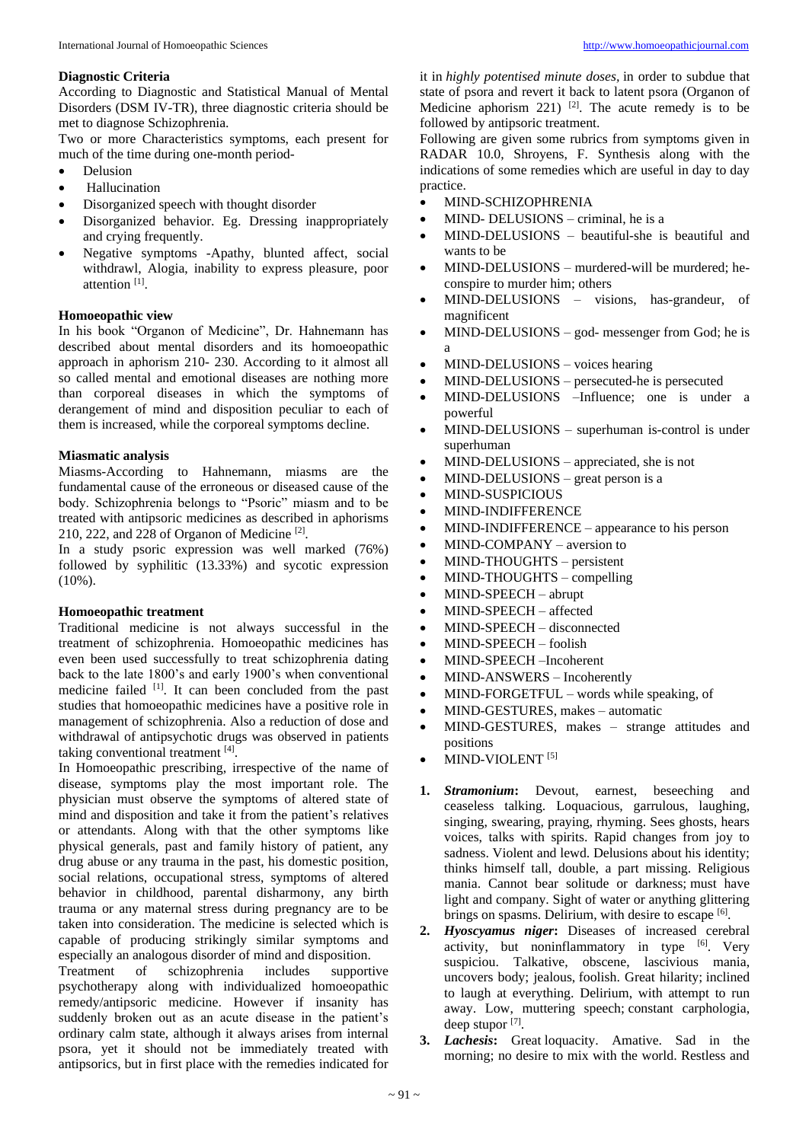# **Diagnostic Criteria**

According to Diagnostic and Statistical Manual of Mental Disorders (DSM IV-TR), three diagnostic criteria should be met to diagnose Schizophrenia.

Two or more Characteristics symptoms, each present for much of the time during one-month period-

- Delusion
- Hallucination
- Disorganized speech with thought disorder
- Disorganized behavior. Eg. Dressing inappropriately and crying frequently.
- Negative symptoms -Apathy, blunted affect, social withdrawl, Alogia, inability to express pleasure, poor attention<sup>[1]</sup>.

## **Homoeopathic view**

In his book "Organon of Medicine", Dr. Hahnemann has described about mental disorders and its homoeopathic approach in aphorism 210- 230. According to it almost all so called mental and emotional diseases are nothing more than corporeal diseases in which the symptoms of derangement of mind and disposition peculiar to each of them is increased, while the corporeal symptoms decline.

## **Miasmatic analysis**

Miasms-According to Hahnemann, miasms are the fundamental cause of the erroneous or diseased cause of the body. Schizophrenia belongs to "Psoric" miasm and to be treated with antipsoric medicines as described in aphorisms 210, 222, and 228 of Organon of Medicine [2] .

In a study psoric expression was well marked (76%) followed by syphilitic (13.33%) and sycotic expression  $(10\%)$ .

#### **Homoeopathic treatment**

Traditional medicine is not always successful in the treatment of schizophrenia. Homoeopathic medicines has even been used successfully to treat schizophrenia dating back to the late 1800's and early 1900's when conventional medicine failed <sup>[1]</sup>. It can been concluded from the past studies that homoeopathic medicines have a positive role in management of schizophrenia. Also a reduction of dose and withdrawal of antipsychotic drugs was observed in patients taking conventional treatment [4].

In Homoeopathic prescribing, irrespective of the name of disease, symptoms play the most important role. The physician must observe the symptoms of altered state of mind and disposition and take it from the patient's relatives or attendants. Along with that the other symptoms like physical generals, past and family history of patient, any drug abuse or any trauma in the past, his domestic position, social relations, occupational stress, symptoms of altered behavior in childhood, parental disharmony, any birth trauma or any maternal stress during pregnancy are to be taken into consideration. The medicine is selected which is capable of producing strikingly similar symptoms and especially an analogous disorder of mind and disposition.

Treatment of schizophrenia includes supportive psychotherapy along with individualized homoeopathic remedy/antipsoric medicine. However if insanity has suddenly broken out as an acute disease in the patient's ordinary calm state, although it always arises from internal psora, yet it should not be immediately treated with antipsorics, but in first place with the remedies indicated for

it in *highly potentised minute doses,* in order to subdue that state of psora and revert it back to latent psora (Organon of Medicine aphorism 221)  $[2]$ . The acute remedy is to be followed by antipsoric treatment.

Following are given some rubrics from symptoms given in RADAR 10.0, Shroyens, F. Synthesis along with the indications of some remedies which are useful in day to day practice.

- MIND-SCHIZOPHRENIA
- MIND- DELUSIONS criminal, he is a
- MIND-DELUSIONS beautiful-she is beautiful and wants to be
- MIND-DELUSIONS murdered-will be murdered; heconspire to murder him; others
- MIND-DELUSIONS visions, has-grandeur, of magnificent
- $MIND-DELUSIONS god- messenger from God; he is$ a
- MIND-DELUSIONS voices hearing
- MIND-DELUSIONS persecuted-he is persecuted
- MIND-DELUSIONS –Influence; one is under a powerful
- MIND-DELUSIONS superhuman is-control is under superhuman
- MIND-DELUSIONS appreciated, she is not
- MIND-DELUSIONS great person is a
- MIND-SUSPICIOUS
- MIND-INDIFFERENCE
- MIND-INDIFFERENCE appearance to his person
- MIND-COMPANY aversion to
- MIND-THOUGHTS persistent
- MIND-THOUGHTS compelling
- MIND-SPEECH abrupt
- MIND-SPEECH affected
- MIND-SPEECH disconnected
- MIND-SPEECH foolish
- MIND-SPEECH –Incoherent
- MIND-ANSWERS Incoherently
- MIND-FORGETFUL words while speaking, of
- MIND-GESTURES, makes automatic
- MIND-GESTURES, makes strange attitudes and positions
- MIND-VIOLENT<sup>[5]</sup>
- **1.** *Stramonium***:** Devout, earnest, beseeching and ceaseless talking. Loquacious, garrulous, laughing, singing, swearing, praying, rhyming. Sees ghosts, hears voices, talks with spirits. Rapid changes from joy to sadness. Violent and lewd. Delusions about his identity; thinks himself tall, double, a part missing. Religious mania. Cannot bear solitude or darkness; must have light and company. Sight of water or anything glittering brings on spasms. Delirium, with desire to escape [6].
- **2.** *Hyoscyamus niger***:** Diseases of increased cerebral activity, but noninflammatory in type [6]. Very suspiciou. Talkative, obscene, lascivious mania, uncovers body; jealous, foolish. Great hilarity; inclined to laugh at everything. Delirium, with attempt to run away. Low, muttering speech; constant carphologia, deep stupor [7].
- **3.** *Lachesis***:** Great loquacity. Amative. Sad in the morning; no desire to mix with the world. Restless and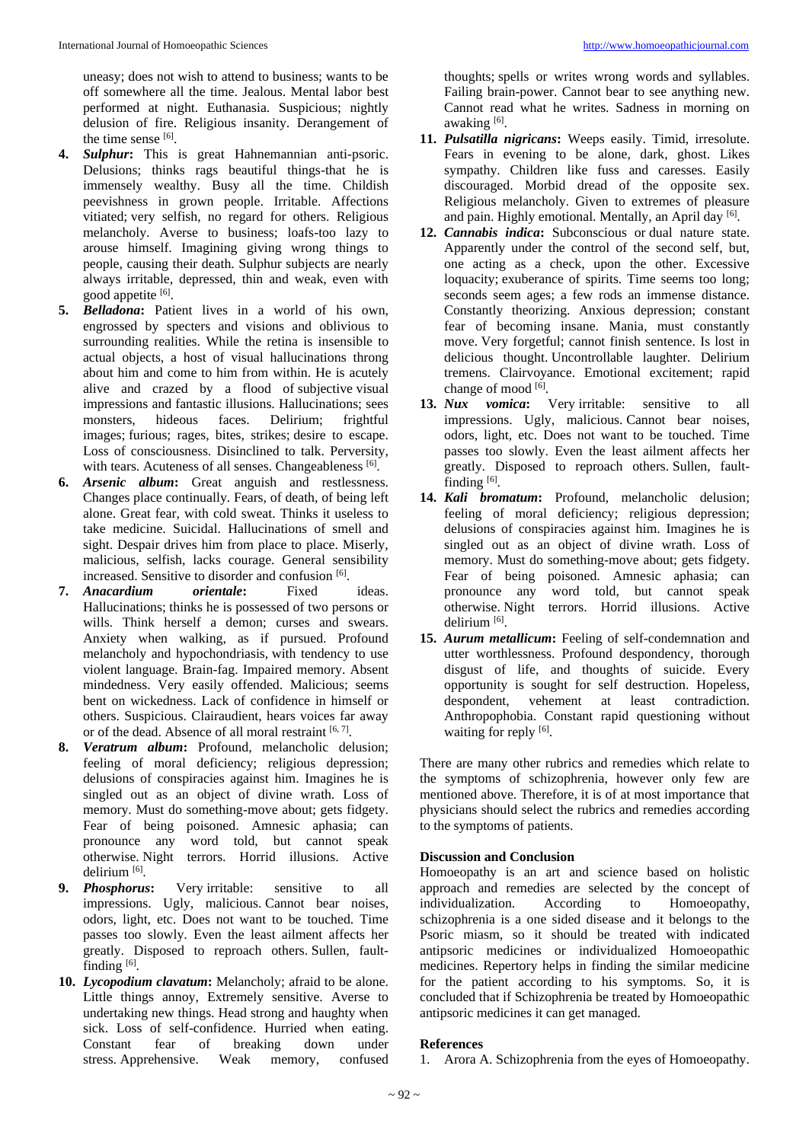uneasy; does not wish to attend to business; wants to be off somewhere all the time. Jealous. Mental labor best performed at night. Euthanasia. Suspicious; nightly delusion of fire. Religious insanity. Derangement of the time sense [6].

- **4.** *Sulphur***:** This is great Hahnemannian anti-psoric. Delusions; thinks rags beautiful things-that he is immensely wealthy. Busy all the time. Childish peevishness in grown people. Irritable. Affections vitiated; very selfish, no regard for others. Religious melancholy. Averse to business; loafs-too lazy to arouse himself. Imagining giving wrong things to people, causing their death. Sulphur subjects are nearly always irritable, depressed, thin and weak, even with good appetite [6].
- **5.** *Belladona***:** Patient lives in a world of his own, engrossed by specters and visions and oblivious to surrounding realities. While the retina is insensible to actual objects, a host of visual hallucinations throng about him and come to him from within. He is acutely alive and crazed by a flood of subjective visual impressions and fantastic illusions. Hallucinations; sees monsters, hideous faces. Delirium; frightful images; furious; rages, bites, strikes; desire to escape. Loss of consciousness. Disinclined to talk. Perversity, with tears. Acuteness of all senses. Changeableness [6].
- **6.** *Arsenic album***:** Great anguish and restlessness. Changes place continually. Fears, of death, of being left alone. Great fear, with cold sweat. Thinks it useless to take medicine. Suicidal. Hallucinations of smell and sight. Despair drives him from place to place. Miserly, malicious, selfish, lacks courage. General sensibility increased. Sensitive to disorder and confusion [6].
- **7.** *Anacardium orientale***:** Fixed ideas. Hallucinations; thinks he is possessed of two persons or wills. Think herself a demon; curses and swears. Anxiety when walking, as if pursued. Profound melancholy and hypochondriasis, with tendency to use violent language. Brain-fag. Impaired memory. Absent mindedness. Very easily offended. Malicious; seems bent on wickedness. Lack of confidence in himself or others. Suspicious. Clairaudient, hears voices far away or of the dead. Absence of all moral restraint [6,7].
- **8.** *Veratrum album***:** Profound, melancholic delusion; feeling of moral deficiency; religious depression; delusions of conspiracies against him. Imagines he is singled out as an object of divine wrath. Loss of memory. Must do something-move about; gets fidgety. Fear of being poisoned. Amnesic aphasia; can pronounce any word told, but cannot speak otherwise. Night terrors. Horrid illusions. Active delirium [6].
- **9.** *Phosphorus***:** Very irritable: sensitive to all impressions. Ugly, malicious. Cannot bear noises, odors, light, etc. Does not want to be touched. Time passes too slowly. Even the least ailment affects her greatly. Disposed to reproach others. Sullen, faultfinding  $[6]$ .
- **10.** *Lycopodium clavatum***:** Melancholy; afraid to be alone. Little things annoy, Extremely sensitive. Averse to undertaking new things. Head strong and haughty when sick. Loss of self-confidence. Hurried when eating. Constant fear of breaking down under stress. Apprehensive. Weak memory, confused

thoughts; spells or writes wrong words and syllables. Failing brain-power. Cannot bear to see anything new. Cannot read what he writes. Sadness in morning on awaking [6].

- **11.** *Pulsatilla nigricans***:** Weeps easily. Timid, irresolute. Fears in evening to be alone, dark, ghost. Likes sympathy. Children like fuss and caresses. Easily discouraged. Morbid dread of the opposite sex. Religious melancholy. Given to extremes of pleasure and pain. Highly emotional. Mentally, an April day [6].
- **12.** *Cannabis indica***:** Subconscious or dual nature state. Apparently under the control of the second self, but, one acting as a check, upon the other. Excessive loquacity; exuberance of spirits. Time seems too long; seconds seem ages; a few rods an immense distance. Constantly theorizing. Anxious depression; constant fear of becoming insane. Mania, must constantly move. Very forgetful; cannot finish sentence. Is lost in delicious thought. Uncontrollable laughter. Delirium tremens. Clairvoyance. Emotional excitement; rapid change of mood [6].
- **13.** *Nux vomica***:** Very irritable: sensitive to all impressions. Ugly, malicious. Cannot bear noises, odors, light, etc. Does not want to be touched. Time passes too slowly. Even the least ailment affects her greatly. Disposed to reproach others. Sullen, faultfinding<sup>[6]</sup>.
- **14.** *Kali bromatum***:** Profound, melancholic delusion; feeling of moral deficiency; religious depression; delusions of conspiracies against him. Imagines he is singled out as an object of divine wrath. Loss of memory. Must do something-move about; gets fidgety. Fear of being poisoned. Amnesic aphasia; can pronounce any word told, but cannot speak otherwise. Night terrors. Horrid illusions. Active delirium [6].
- **15.** *Aurum metallicum***:** Feeling of self-condemnation and utter worthlessness. Profound despondency, thorough disgust of life, and thoughts of suicide. Every opportunity is sought for self destruction. Hopeless, despondent, vehement at least contradiction. Anthropophobia. Constant rapid questioning without waiting for reply [6].

There are many other rubrics and remedies which relate to the symptoms of schizophrenia, however only few are mentioned above. Therefore, it is of at most importance that physicians should select the rubrics and remedies according to the symptoms of patients.

# **Discussion and Conclusion**

Homoeopathy is an art and science based on holistic approach and remedies are selected by the concept of individualization. According to Homoeopathy, schizophrenia is a one sided disease and it belongs to the Psoric miasm, so it should be treated with indicated antipsoric medicines or individualized Homoeopathic medicines. Repertory helps in finding the similar medicine for the patient according to his symptoms. So, it is concluded that if Schizophrenia be treated by Homoeopathic antipsoric medicines it can get managed.

# **References**

1. Arora A. Schizophrenia from the eyes of Homoeopathy.